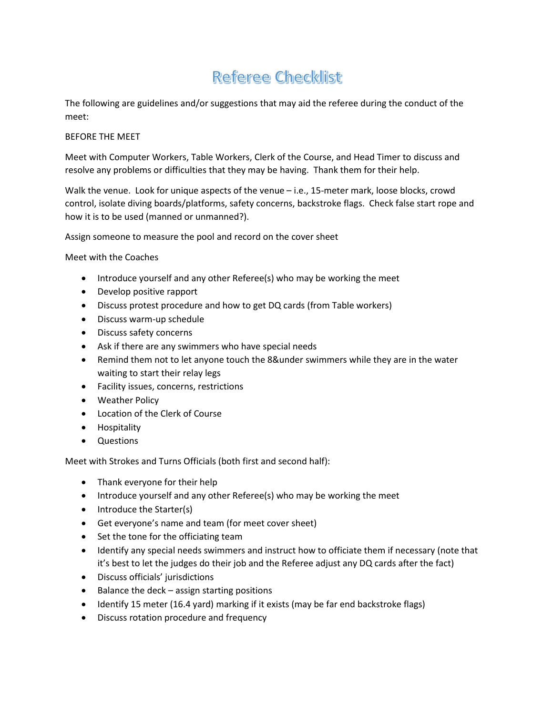# Referee Checklist

The following are guidelines and/or suggestions that may aid the referee during the conduct of the meet:

#### BEFORE THE MEET

Meet with Computer Workers, Table Workers, Clerk of the Course, and Head Timer to discuss and resolve any problems or difficulties that they may be having. Thank them for their help.

Walk the venue. Look for unique aspects of the venue – i.e., 15-meter mark, loose blocks, crowd control, isolate diving boards/platforms, safety concerns, backstroke flags. Check false start rope and how it is to be used (manned or unmanned?).

Assign someone to measure the pool and record on the cover sheet

Meet with the Coaches

- Introduce yourself and any other Referee(s) who may be working the meet
- Develop positive rapport
- Discuss protest procedure and how to get DQ cards (from Table workers)
- Discuss warm-up schedule
- Discuss safety concerns
- Ask if there are any swimmers who have special needs
- Remind them not to let anyone touch the 8&under swimmers while they are in the water waiting to start their relay legs
- Facility issues, concerns, restrictions
- Weather Policy
- Location of the Clerk of Course
- Hospitality
- Questions

Meet with Strokes and Turns Officials (both first and second half):

- Thank everyone for their help
- Introduce yourself and any other Referee(s) who may be working the meet
- Introduce the Starter(s)
- Get everyone's name and team (for meet cover sheet)
- Set the tone for the officiating team
- Identify any special needs swimmers and instruct how to officiate them if necessary (note that it's best to let the judges do their job and the Referee adjust any DQ cards after the fact)
- Discuss officials' jurisdictions
- Balance the deck assign starting positions
- Identify 15 meter (16.4 yard) marking if it exists (may be far end backstroke flags)
- Discuss rotation procedure and frequency